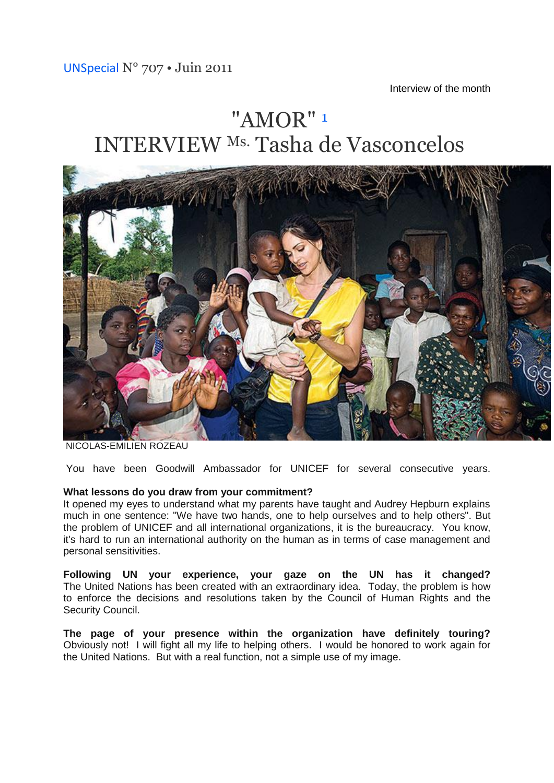Interview of the month

# "AMOR" [1](http://translate.googleusercontent.com/translate_c?ie=UTF8&rurl=translate.google.fr&sl=fr&tl=en&u=http://www.unspecial.org/UNS707/t23.html&usg=ALkJrhjIDLF-9VsBQc-H3qZ3m31-yC6MuA#one) INTERVIEW Ms. Tasha de Vasconcelos



NICOLAS-EMILIEN ROZEAU

You have been Goodwill Ambassador for UNICEF for several consecutive years.

#### **What lessons do you draw from your commitment?**

It opened my eyes to understand what my parents have taught and Audrey Hepburn explains much in one sentence: "We have two hands, one to help ourselves and to help others". But the problem of UNICEF and all international organizations, it is the bureaucracy. You know, it's hard to run an international authority on the human as in terms of case management and personal sensitivities.

**Following UN your experience, your gaze on the UN has it changed?** The United Nations has been created with an extraordinary idea. Today, the problem is how to enforce the decisions and resolutions taken by the Council of Human Rights and the Security Council.

**The page of your presence within the organization have definitely touring?** Obviously not! I will fight all my life to helping others. I would be honored to work again for the United Nations. But with a real function, not a simple use of my image.